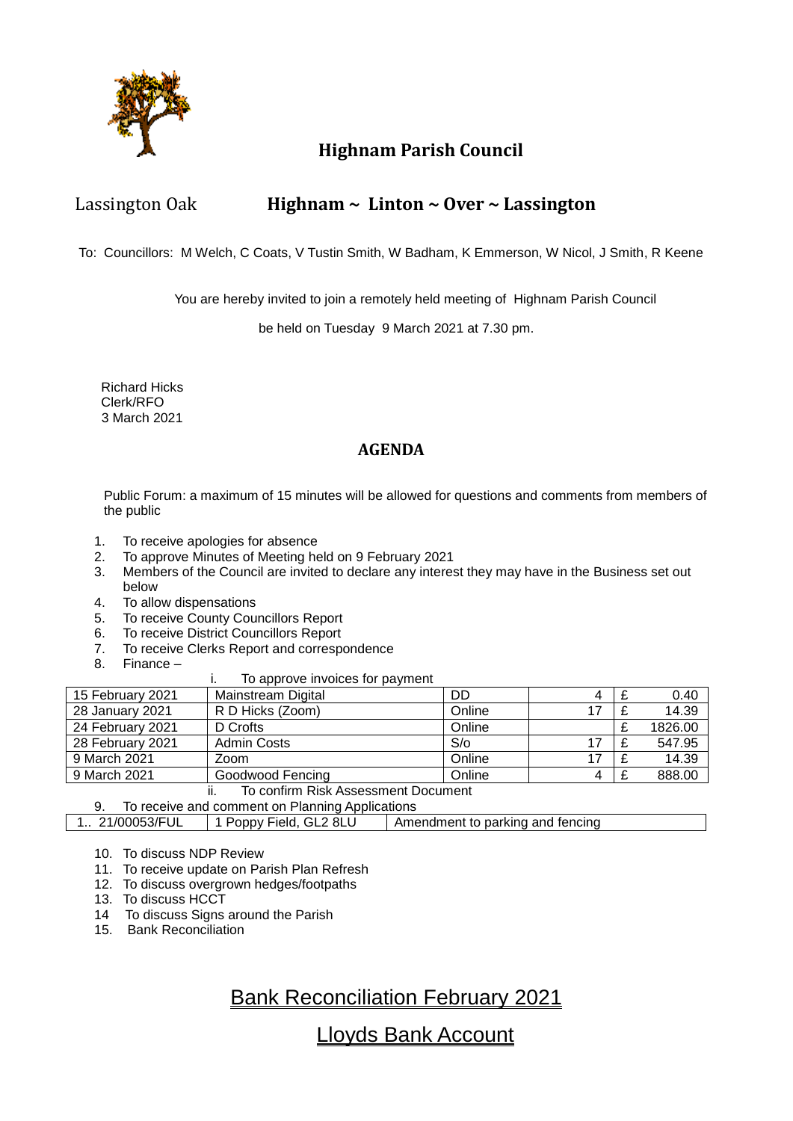

# **Highnam Parish Council**

## Lassington Oak **Highnam ~ Linton ~ Over ~ Lassington**

To: Councillors: M Welch, C Coats, V Tustin Smith, W Badham, K Emmerson, W Nicol, J Smith, R Keene

You are hereby invited to join a remotely held meeting of Highnam Parish Council

be held on Tuesday 9 March 2021 at 7.30 pm.

 Richard Hicks Clerk/RFO 3 March 2021

## **AGENDA**

Public Forum: a maximum of 15 minutes will be allowed for questions and comments from members of the public

- 1. To receive apologies for absence
- 2. To approve Minutes of Meeting held on 9 February 2021
- 3. Members of the Council are invited to declare any interest they may have in the Business set out below
- 4. To allow dispensations
- 5. To receive County Councillors Report
- 6. To receive District Councillors Report<br>7. To receive Clerks Report and corresp
- To receive Clerks Report and correspondence
- 8. Finance –

### i. To approve invoices for payment

| 15 February 2021                            | Mainstream Digital | DD     | 4 |  | 0.40    |  |
|---------------------------------------------|--------------------|--------|---|--|---------|--|
| 28 January 2021                             | R D Hicks (Zoom)   | Online |   |  | 14.39   |  |
| 24 February 2021                            | D Crofts           | Online |   |  | 1826.00 |  |
| 28 February 2021                            | <b>Admin Costs</b> | S/O    |   |  | 547.95  |  |
| 9 March 2021                                | Zoom               | Online |   |  | 14.39   |  |
| 9 March 2021                                | Goodwood Fencing   | Online | 4 |  | 888.00  |  |
| To confirm Diale Accordoment Document<br>н. |                    |        |   |  |         |  |

#### ii. To confirm Risk Assessment Document 9. To receive and comment on Planning Applications

1.. 21/00053/FUL 1 Poppy Field, GL2 8LU Amendment to parking and fencing

- 10. To discuss NDP Review
- 11. To receive update on Parish Plan Refresh
- 12. To discuss overgrown hedges/footpaths
- 13. To discuss HCCT
- 14 To discuss Signs around the Parish
- 15. Bank Reconciliation

# Bank Reconciliation February 2021

Lloyds Bank Account